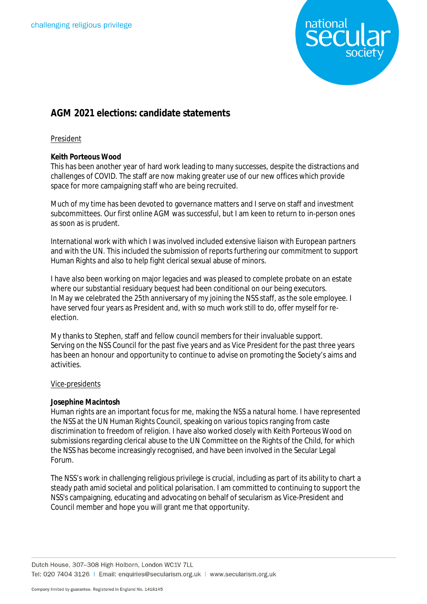

# **AGM 2021 elections: candidate statements**

# President

# **Keith Porteous Wood**

This has been another year of hard work leading to many successes, despite the distractions and challenges of COVID. The staff are now making greater use of our new offices which provide space for more campaigning staff who are being recruited.

Much of my time has been devoted to governance matters and I serve on staff and investment subcommittees. Our first online AGM was successful, but I am keen to return to in-person ones as soon as is prudent.

International work with which I was involved included extensive liaison with European partners and with the UN. This included the submission of reports furthering our commitment to support Human Rights and also to help fight clerical sexual abuse of minors.

I have also been working on major legacies and was pleased to complete probate on an estate where our substantial residuary bequest had been conditional on our being executors. In May we celebrated the 25th anniversary of my joining the NSS staff, as the sole employee. I have served four years as President and, with so much work still to do, offer myself for reelection.

My thanks to Stephen, staff and fellow council members for their invaluable support. Serving on the NSS Council for the past five years and as Vice President for the past three years has been an honour and opportunity to continue to advise on promoting the Society's aims and activities.

# Vice-presidents

# **Josephine Macintosh**

Human rights are an important focus for me, making the NSS a natural home. I have represented the NSS at the UN Human Rights Council, speaking on various topics ranging from caste discrimination to freedom of religion. I have also worked closely with Keith Porteous Wood on submissions regarding clerical abuse to the UN Committee on the Rights of the Child, for which the NSS has become increasingly recognised, and have been involved in the Secular Legal Forum.

The NSS's work in challenging religious privilege is crucial, including as part of its ability to chart a steady path amid societal and political polarisation. I am committed to continuing to support the NSS's campaigning, educating and advocating on behalf of secularism as Vice-President and Council member and hope you will grant me that opportunity.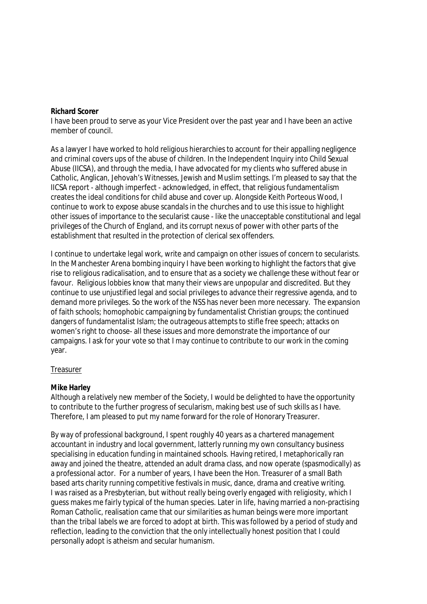#### **Richard Scorer**

I have been proud to serve as your Vice President over the past year and I have been an active member of council.

As a lawyer I have worked to hold religious hierarchies to account for their appalling negligence and criminal covers ups of the abuse of children. In the Independent Inquiry into Child Sexual Abuse (IICSA), and through the media, I have advocated for my clients who suffered abuse in Catholic, Anglican, Jehovah's Witnesses, Jewish and Muslim settings. I'm pleased to say that the IICSA report - although imperfect - acknowledged, in effect, that religious fundamentalism creates the ideal conditions for child abuse and cover up. Alongside Keith Porteous Wood, I continue to work to expose abuse scandals in the churches and to use this issue to highlight other issues of importance to the secularist cause - like the unacceptable constitutional and legal privileges of the Church of England, and its corrupt nexus of power with other parts of the establishment that resulted in the protection of clerical sex offenders.

I continue to undertake legal work, write and campaign on other issues of concern to secularists. In the Manchester Arena bombing inquiry I have been working to highlight the factors that give rise to religious radicalisation, and to ensure that as a society we challenge these without fear or favour. Religious lobbies know that many their views are unpopular and discredited. But they continue to use unjustified legal and social privileges to advance their regressive agenda, and to demand more privileges. So the work of the NSS has never been more necessary. The expansion of faith schools; homophobic campaigning by fundamentalist Christian groups; the continued dangers of fundamentalist Islam; the outrageous attempts to stifle free speech; attacks on women's right to choose- all these issues and more demonstrate the importance of our campaigns. I ask for your vote so that I may continue to contribute to our work in the coming year.

# **Treasurer**

# **Mike Harley**

Although a relatively new member of the Society, I would be delighted to have the opportunity to contribute to the further progress of secularism, making best use of such skills as I have. Therefore, I am pleased to put my name forward for the role of Honorary Treasurer.

By way of professional background, I spent roughly 40 years as a chartered management accountant in industry and local government, latterly running my own consultancy business specialising in education funding in maintained schools. Having retired, I metaphorically ran away and joined the theatre, attended an adult drama class, and now operate (spasmodically) as a professional actor. For a number of years, I have been the Hon. Treasurer of a small Bath based arts charity running competitive festivals in music, dance, drama and creative writing. I was raised as a Presbyterian, but without really being overly engaged with religiosity, which I guess makes me fairly typical of the human species. Later in life, having married a non-practising Roman Catholic, realisation came that our similarities as human beings were more important than the tribal labels we are forced to adopt at birth. This was followed by a period of study and reflection, leading to the conviction that the only intellectually honest position that I could personally adopt is atheism and secular humanism.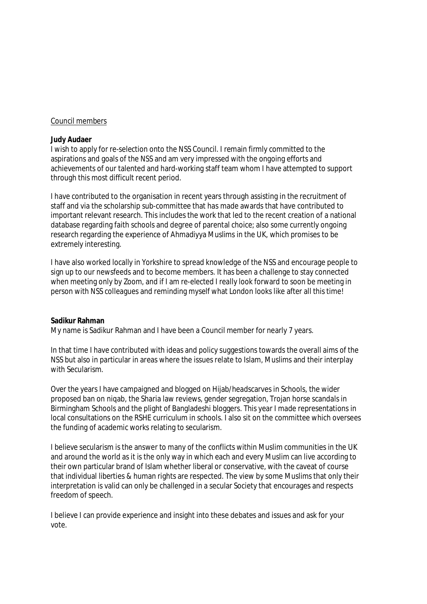#### Council members

#### **Judy Audaer**

I wish to apply for re-selection onto the NSS Council. I remain firmly committed to the aspirations and goals of the NSS and am very impressed with the ongoing efforts and achievements of our talented and hard-working staff team whom I have attempted to support through this most difficult recent period.

I have contributed to the organisation in recent years through assisting in the recruitment of staff and via the scholarship sub-committee that has made awards that have contributed to important relevant research. This includes the work that led to the recent creation of a national database regarding faith schools and degree of parental choice; also some currently ongoing research regarding the experience of Ahmadiyya Muslims in the UK, which promises to be extremely interesting.

I have also worked locally in Yorkshire to spread knowledge of the NSS and encourage people to sign up to our newsfeeds and to become members. It has been a challenge to stay connected when meeting only by Zoom, and if I am re-elected I really look forward to soon be meeting in person with NSS colleagues and reminding myself what London looks like after all this time!

#### **Sadikur Rahman**

My name is Sadikur Rahman and I have been a Council member for nearly 7 years.

In that time I have contributed with ideas and policy suggestions towards the overall aims of the NSS but also in particular in areas where the issues relate to Islam, Muslims and their interplay with Secularism.

Over the years I have campaigned and blogged on Hijab/headscarves in Schools, the wider proposed ban on niqab, the Sharia law reviews, gender segregation, Trojan horse scandals in Birmingham Schools and the plight of Bangladeshi bloggers. This year I made representations in local consultations on the RSHE curriculum in schools. I also sit on the committee which oversees the funding of academic works relating to secularism.

I believe secularism is the answer to many of the conflicts within Muslim communities in the UK and around the world as it is the only way in which each and every Muslim can live according to their own particular brand of Islam whether liberal or conservative, with the caveat of course that individual liberties & human rights are respected. The view by some Muslims that only their interpretation is valid can only be challenged in a secular Society that encourages and respects freedom of speech.

I believe I can provide experience and insight into these debates and issues and ask for your vote.